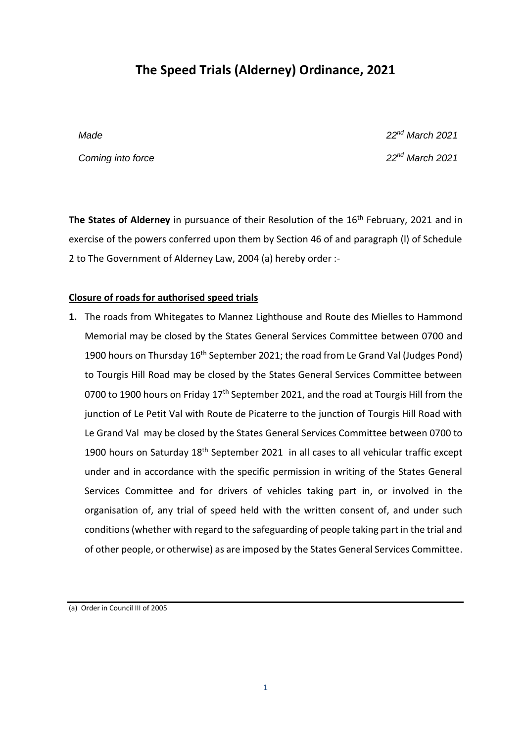# **The Speed Trials (Alderney) Ordinance, 2021**

*Coming into force 22nd March 2021*

*Made 22nd March 2021*

The States of Alderney in pursuance of their Resolution of the 16<sup>th</sup> February, 2021 and in exercise of the powers conferred upon them by Section 46 of and paragraph (l) of Schedule 2 to The Government of Alderney Law, 2004 (a) hereby order :-

## **Closure of roads for authorised speed trials**

**1.** The roads from Whitegates to Mannez Lighthouse and Route des Mielles to Hammond Memorial may be closed by the States General Services Committee between 0700 and 1900 hours on Thursday 16<sup>th</sup> September 2021; the road from Le Grand Val (Judges Pond) to Tourgis Hill Road may be closed by the States General Services Committee between 0700 to 1900 hours on Friday 17<sup>th</sup> September 2021, and the road at Tourgis Hill from the junction of Le Petit Val with Route de Picaterre to the junction of Tourgis Hill Road with Le Grand Val may be closed by the States General Services Committee between 0700 to 1900 hours on Saturday 18<sup>th</sup> September 2021 in all cases to all vehicular traffic except under and in accordance with the specific permission in writing of the States General Services Committee and for drivers of vehicles taking part in, or involved in the organisation of, any trial of speed held with the written consent of, and under such conditions (whether with regard to the safeguarding of people taking part in the trial and of other people, or otherwise) as are imposed by the States General Services Committee.

(a) Order in Council III of 2005